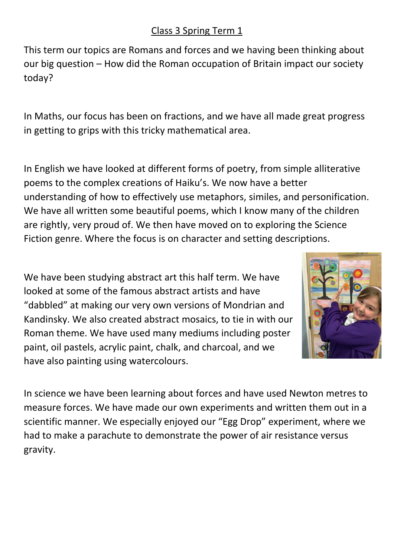This term our topics are Romans and forces and we having been thinking about our big question – How did the Roman occupation of Britain impact our society today?

In Maths, our focus has been on fractions, and we have all made great progress in getting to grips with this tricky mathematical area.

In English we have looked at different forms of poetry, from simple alliterative poems to the complex creations of Haiku's. We now have a better understanding of how to effectively use metaphors, similes, and personification. We have all written some beautiful poems, which I know many of the children are rightly, very proud of. We then have moved on to exploring the Science Fiction genre. Where the focus is on character and setting descriptions.

We have been studying abstract art this half term. We have looked at some of the famous abstract artists and have "dabbled" at making our very own versions of Mondrian and Kandinsky. We also created abstract mosaics, to tie in with our Roman theme. We have used many mediums including poster paint, oil pastels, acrylic paint, chalk, and charcoal, and we have also painting using watercolours.



In science we have been learning about forces and have used Newton metres to measure forces. We have made our own experiments and written them out in a scientific manner. We especially enjoyed our "Egg Drop" experiment, where we had to make a parachute to demonstrate the power of air resistance versus gravity.